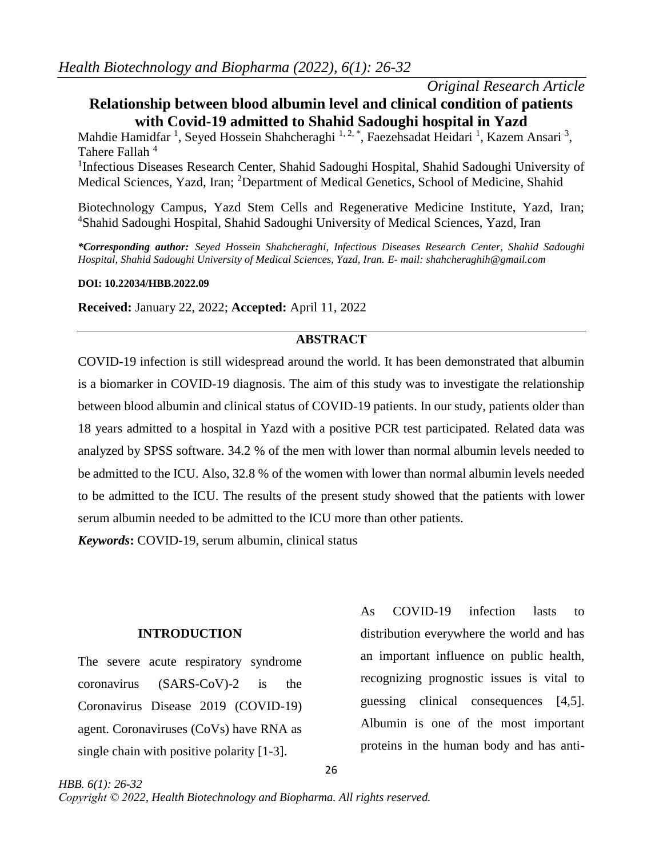# *Original Research Article*

# **Relationship between blood albumin level and clinical condition of patients with Covid-19 admitted to Shahid Sadoughi hospital in Yazd**

Mahdie Hamidfar<sup>1</sup>, Seyed Hossein Shahcheraghi<sup>1,2,\*</sup>, Faezehsadat Heidari<sup>1</sup>, Kazem Ansari<sup>3</sup>, Tahere Fallah<sup>4</sup>

<sup>1</sup>Infectious Diseases Research Center, Shahid Sadoughi Hospital, Shahid Sadoughi University of Medical Sciences, Yazd, Iran; <sup>2</sup>Department of Medical Genetics, School of Medicine, Shahid

Biotechnology Campus, Yazd Stem Cells and Regenerative Medicine Institute, Yazd, Iran; <sup>4</sup>Shahid Sadoughi Hospital, Shahid Sadoughi University of Medical Sciences, Yazd, Iran

*\*Corresponding author: Seyed Hossein Shahcheraghi, Infectious Diseases Research Center, Shahid Sadoughi Hospital, Shahid Sadoughi University of Medical Sciences, Yazd, Iran. E- mail[: shahcheraghih@gmail.com](mailto:shahcheraghih@gmail.com)*

### **DOI: 10.22034/HBB.2022.09**

**Received:** January 22, 2022; **Accepted:** April 11, 2022

## **ABSTRACT**

COVID-19 infection is still widespread around the world. It has been demonstrated that albumin is a biomarker in COVID-19 diagnosis. The aim of this study was to investigate the relationship between blood albumin and clinical status of COVID-19 patients. In our study, patients older than 18 years admitted to a hospital in Yazd with a positive PCR test participated. Related data was analyzed by SPSS software. 34.2 % of the men with lower than normal albumin levels needed to be admitted to the ICU. Also, 32.8 % of the women with lower than normal albumin levels needed to be admitted to the ICU. The results of the present study showed that the patients with lower serum albumin needed to be admitted to the ICU more than other patients.

*Keywords***:** COVID-19, serum albumin, clinical status

## **INTRODUCTION**

The severe acute respiratory syndrome coronavirus (SARS-CoV)-2 is the Coronavirus Disease 2019 (COVID-19) agent. Coronaviruses (CoVs) have RNA as single chain with positive polarity [\[1-3\]](#page-6-0).

*HBB. 6(1): 26-32*

As COVID-19 infection lasts to distribution everywhere the world and has an important influence on public health, recognizing prognostic issues is vital to guessing clinical consequences [\[4](#page-5-0)[,5\]](#page-5-1). Albumin is one of the most important proteins in the human body and has anti-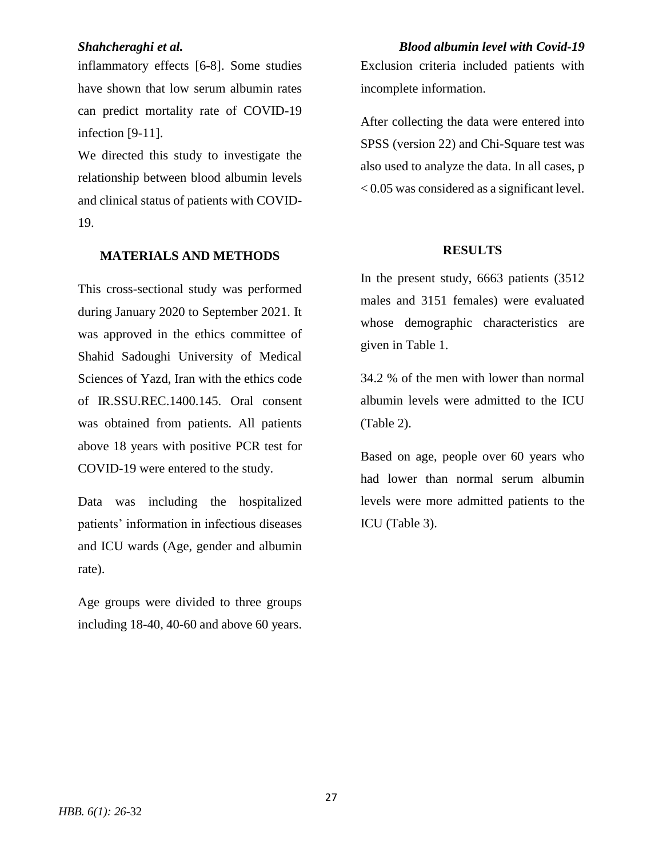inflammatory effects [\[6-8\]](#page-5-2). Some studies have shown that low serum albumin rates can predict mortality rate of COVID-19 infection [\[9-11\]](#page-5-3).

We directed this study to investigate the relationship between blood albumin levels and clinical status of patients with COVID-19.

## **MATERIALS AND METHODS**

This cross-sectional study was performed during January 2020 to September 2021. It was approved in the ethics committee of Shahid Sadoughi University of Medical Sciences of Yazd, Iran with the ethics code of IR.SSU.REC.1400.145. Oral consent was obtained from patients. All patients above 18 years with positive PCR test for COVID-19 were entered to the study.

Data was including the hospitalized patients' information in infectious diseases and ICU wards (Age, gender and albumin rate).

Age groups were divided to three groups including 18-40, 40-60 and above 60 years.

*Shahcheraghi et al. Blood albumin level with Covid-19* Exclusion criteria included patients with incomplete information.

> After collecting the data were entered into SPSS (version 22) and Chi-Square test was also used to analyze the data. In all cases, p < 0.05 was considered as a significant level.

## **RESULTS**

In the present study, 6663 patients (3512 males and 3151 females) were evaluated whose demographic characteristics are given in Table 1.

34.2 % of the men with lower than normal albumin levels were admitted to the ICU (Table 2).

Based on age, people over 60 years who had lower than normal serum albumin levels were more admitted patients to the ICU (Table 3).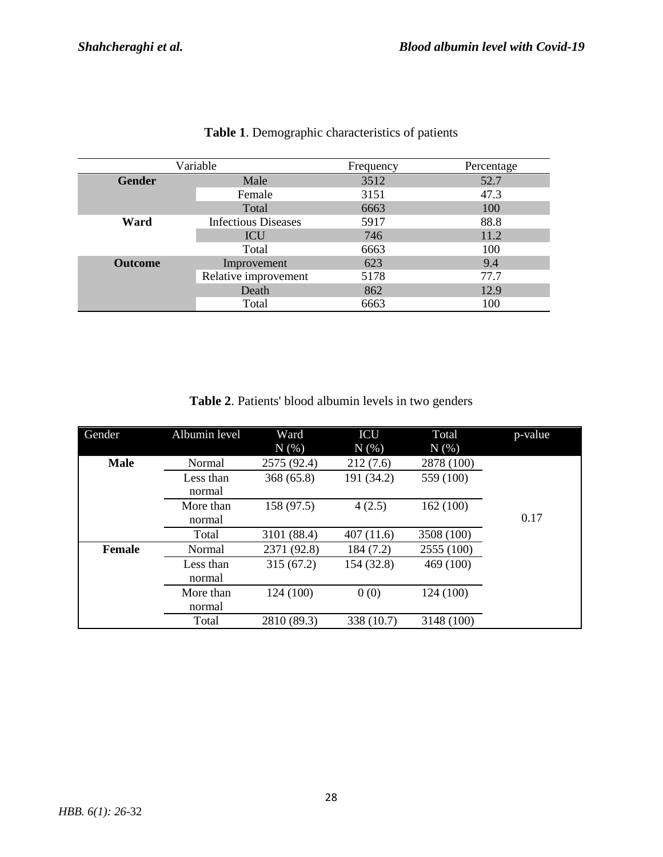| Variable       |                            | Frequency | Percentage |  |
|----------------|----------------------------|-----------|------------|--|
| <b>Gender</b>  | Male                       | 3512      | 52.7       |  |
|                | Female                     | 3151      | 47.3       |  |
|                | Total                      | 6663      | 100        |  |
| Ward           | <b>Infectious Diseases</b> | 5917      | 88.8       |  |
|                | ICU                        | 746       | 11.2       |  |
|                | Total                      | 6663      | 100        |  |
| <b>Outcome</b> | Improvement                | 623       | 9.4        |  |
|                | Relative improvement       | 5178      | 77.7       |  |
|                | Death                      | 862       | 12.9       |  |
|                | Total                      | 6663      | 100        |  |

# **Table 1**. Demographic characteristics of patients

| <b>Table 2.</b> Patients' blood albumin levels in two genders |  |  |  |
|---------------------------------------------------------------|--|--|--|
|                                                               |  |  |  |

| Gender        | Albumin level       | Ward<br>$N(\%)$ | <b>ICU</b><br>$N(\%)$ | Total<br>N(% ) | p-value |
|---------------|---------------------|-----------------|-----------------------|----------------|---------|
| <b>Male</b>   | Normal              | 2575 (92.4)     | 212(7.6)              | 2878 (100)     |         |
|               | Less than<br>normal | 368(65.8)       | 191 (34.2)            | 559 (100)      |         |
|               | More than<br>normal | 158 (97.5)      | 4(2.5)                | 162(100)       | 0.17    |
|               | Total               | 3101 (88.4)     | 407(11.6)             | 3508 (100)     |         |
| <b>Female</b> | Normal              | 2371 (92.8)     | 184 (7.2)             | 2555 (100)     |         |
|               | Less than<br>normal | 315(67.2)       | 154 (32.8)            | 469 (100)      |         |
|               | More than<br>normal | 124 (100)       | 0(0)                  | 124 (100)      |         |
|               | Total               | 2810 (89.3)     | 338 (10.7)            | 3148 (100)     |         |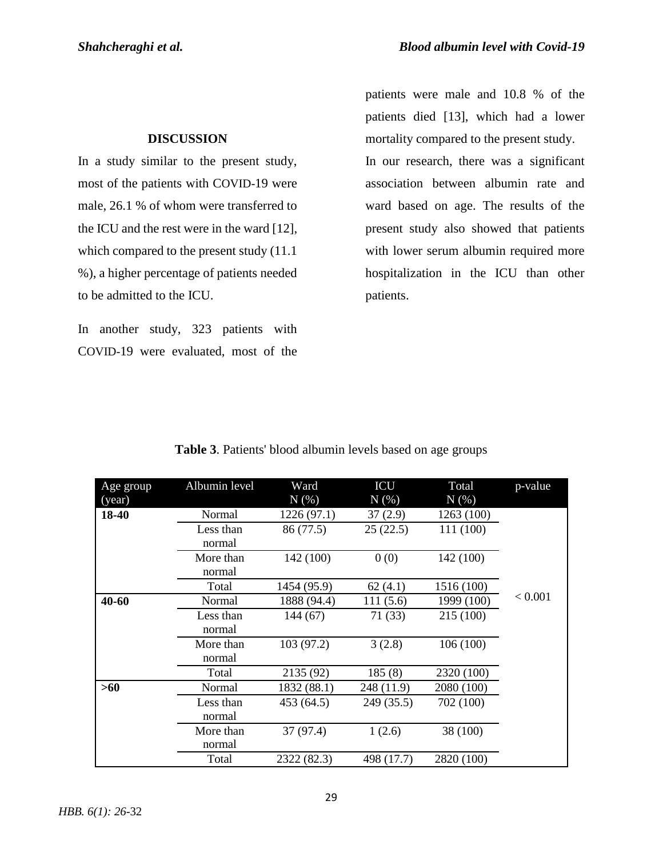# **DISCUSSION**

In a study similar to the present study, most of the patients with COVID-19 were male, 26.1 % of whom were transferred to the ICU and the rest were in the ward [\[12\]](#page-5-4), which compared to the present study  $(11.1)$ %), a higher percentage of patients needed to be admitted to the ICU.

In another study, 323 patients with COVID-19 were evaluated, most of the patients were male and 10.8 % of the patients died [\[13\]](#page-5-5), which had a lower mortality compared to the present study.

In our research, there was a significant association between albumin rate and ward based on age. The results of the present study also showed that patients with lower serum albumin required more hospitalization in the ICU than other patients.

| Age group | Albumin level       | Ward                        | ICU        | Total      | p-value |
|-----------|---------------------|-----------------------------|------------|------------|---------|
| (year)    |                     | $N(\overline{\mathcal{C}})$ | N(% )      | N(% )      |         |
| 18-40     | Normal              | 1226(97.1)                  | 37(2.9)    | 1263 (100) |         |
|           | Less than<br>normal | 86 (77.5)                   | 25(22.5)   | 111 (100)  |         |
|           | More than<br>normal | 142 (100)                   | 0(0)       | 142 (100)  |         |
|           | Total               | 1454 (95.9)                 | 62(4.1)    | 1516 (100) |         |
| 40-60     | Normal              | 1888 (94.4)                 | 111(5.6)   | 1999 (100) | < 0.001 |
|           | Less than<br>normal | 144 (67)                    | 71(33)     | 215 (100)  |         |
|           | More than<br>normal | 103(97.2)                   | 3(2.8)     | 106(100)   |         |
|           | Total               | 2135 (92)                   | 185(8)     | 2320 (100) |         |
| >60       | Normal              | 1832 (88.1)                 | 248 (11.9) | 2080 (100) |         |
|           | Less than<br>normal | 453 (64.5)                  | 249 (35.5) | 702 (100)  |         |
|           | More than<br>normal | 37 (97.4)                   | 1(2.6)     | 38 (100)   |         |
|           | Total               | 2322 (82.3)                 | 498 (17.7) | 2820 (100) |         |

| Table 3. Patients' blood albumin levels based on age groups |  |  |  |
|-------------------------------------------------------------|--|--|--|
|-------------------------------------------------------------|--|--|--|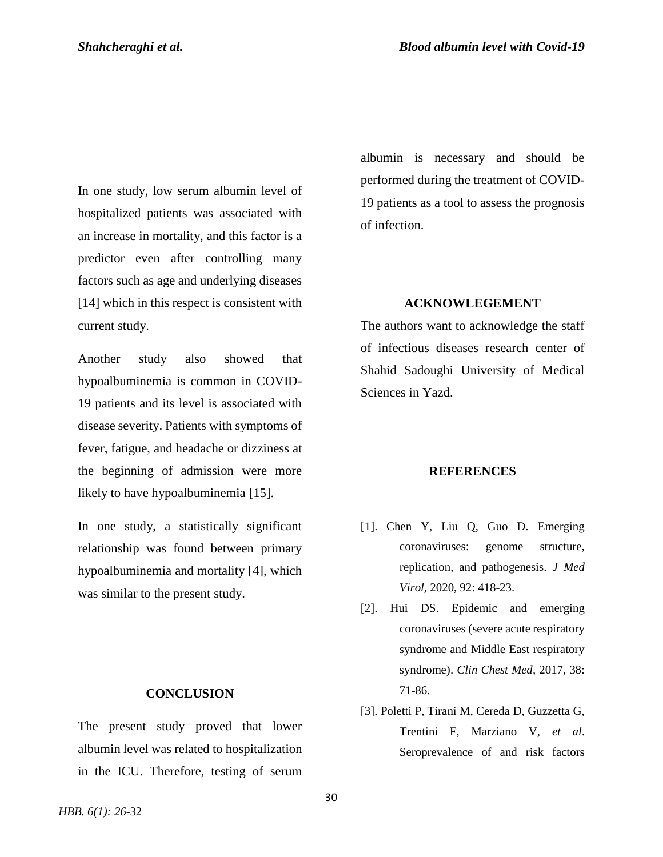In one study, low serum albumin level of hospitalized patients was associated with an increase in mortality, and this factor is a predictor even after controlling many factors such as age and underlying diseases [\[14\]](#page-5-6) which in this respect is consistent with current study.

Another study also showed that hypoalbuminemia is common in COVID-19 patients and its level is associated with disease severity. Patients with symptoms of fever, fatigue, and headache or dizziness at the beginning of admission were more likely to have hypoalbuminemia [\[15\]](#page-5-7).

In one study, a statistically significant relationship was found between primary hypoalbuminemia and mortality [\[4\]](#page-5-0), which was similar to the present study.

## **CONCLUSION**

The present study proved that lower albumin level was related to hospitalization in the ICU. Therefore, testing of serum albumin is necessary and should be performed during the treatment of COVID-19 patients as a tool to assess the prognosis of infection.

## **ACKNOWLEGEMENT**

The authors want to acknowledge the staff of infectious diseases research center of Shahid Sadoughi University of Medical Sciences in Yazd.

### **REFERENCES**

- [1]. Chen Y, Liu Q, Guo D. Emerging coronaviruses: genome structure, replication, and pathogenesis. *J Med Virol,* 2020, 92: 418-23.
- [2]. Hui DS. Epidemic and emerging coronaviruses (severe acute respiratory syndrome and Middle East respiratory syndrome). *Clin Chest Med,* 2017, 38: 71-86.
- [3]. Poletti P, Tirani M, Cereda D, Guzzetta G, Trentini F, Marziano V, *et al*. Seroprevalence of and risk factors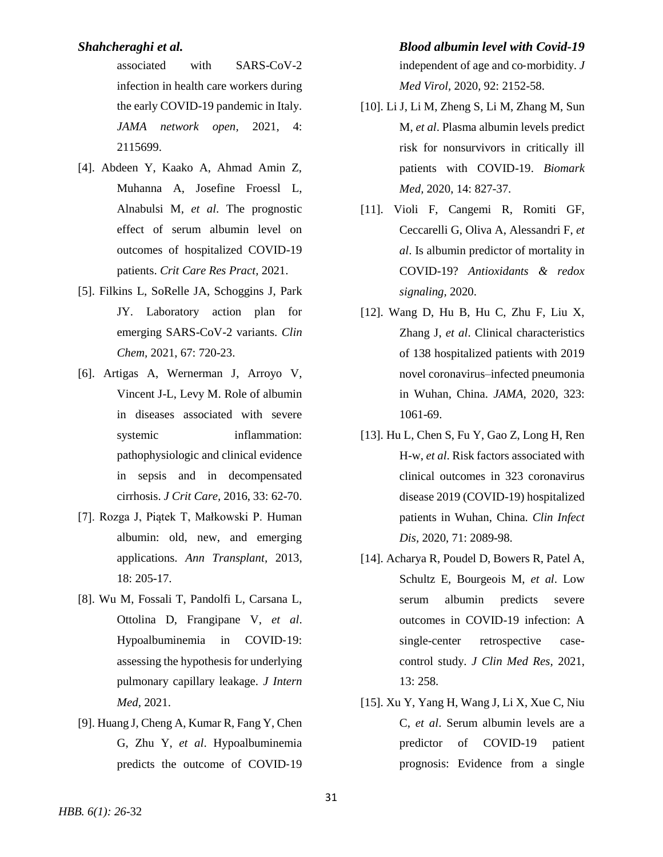associated with SARS-CoV-2 infection in health care workers during the early COVID-19 pandemic in Italy. *JAMA network open,* 2021, 4: 2115699.

- <span id="page-5-0"></span>[4]. Abdeen Y, Kaako A, Ahmad Amin Z, Muhanna A, Josefine Froessl L, Alnabulsi M, *et al*. The prognostic effect of serum albumin level on outcomes of hospitalized COVID-19 patients. *Crit Care Res Pract,* 2021.
- <span id="page-5-1"></span>[5]. Filkins L, SoRelle JA, Schoggins J, Park JY. Laboratory action plan for emerging SARS-CoV-2 variants. *Clin Chem,* 2021, 67: 720-23.
- <span id="page-5-2"></span>[6]. Artigas A, Wernerman J, Arroyo V, Vincent J-L, Levy M. Role of albumin in diseases associated with severe systemic inflammation: pathophysiologic and clinical evidence in sepsis and in decompensated cirrhosis. *J Crit Care,* 2016, 33: 62-70.
- [7]. Rozga J, Piątek T, Małkowski P. Human albumin: old, new, and emerging applications. *Ann Transplant,* 2013, 18: 205-17.
- [8]. Wu M, Fossali T, Pandolfi L, Carsana L, Ottolina D, Frangipane V, *et al*. Hypoalbuminemia in COVID‐19: assessing the hypothesis for underlying pulmonary capillary leakage. *J Intern Med,* 2021.
- <span id="page-5-3"></span>[9]. Huang J, Cheng A, Kumar R, Fang Y, Chen G, Zhu Y, *et al*. Hypoalbuminemia predicts the outcome of COVID‐19

# *Shahcheraghi et al. Blood albumin level with Covid-19* independent of age and co‐morbidity. *J Med Virol,* 2020, 92: 2152-58.

- [10]. Li J, Li M, Zheng S, Li M, Zhang M, Sun M, *et al*. Plasma albumin levels predict risk for nonsurvivors in critically ill patients with COVID-19. *Biomark Med,* 2020, 14: 827-37.
- [11]. Violi F, Cangemi R, Romiti GF, Ceccarelli G, Oliva A, Alessandri F, *et al*. Is albumin predictor of mortality in COVID-19? *Antioxidants & redox signaling,* 2020.
- <span id="page-5-4"></span>[12]. Wang D, Hu B, Hu C, Zhu F, Liu X, Zhang J, *et al*. Clinical characteristics of 138 hospitalized patients with 2019 novel coronavirus–infected pneumonia in Wuhan, China. *JAMA,* 2020, 323: 1061-69.
- <span id="page-5-5"></span>[13]. Hu L, Chen S, Fu Y, Gao Z, Long H, Ren H-w, *et al*. Risk factors associated with clinical outcomes in 323 coronavirus disease 2019 (COVID-19) hospitalized patients in Wuhan, China. *Clin Infect Dis,* 2020, 71: 2089-98.
- <span id="page-5-6"></span>[14]. Acharya R, Poudel D, Bowers R, Patel A, Schultz E, Bourgeois M, *et al*. Low serum albumin predicts severe outcomes in COVID-19 infection: A single-center retrospective casecontrol study. *J Clin Med Res,* 2021, 13: 258.
- <span id="page-5-7"></span>[15]. Xu Y, Yang H, Wang J, Li X, Xue C, Niu C, *et al*. Serum albumin levels are a predictor of COVID-19 patient prognosis: Evidence from a single